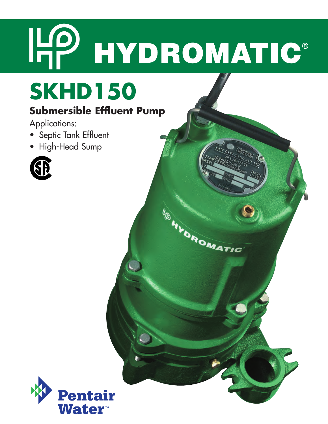# HP HYDROMATIC®

**IFOROMATIC** 

# **SKHD150**

# **Submersible Effluent Pump**

Applications:

- Septic Tank Effluent
- High-Head Sump



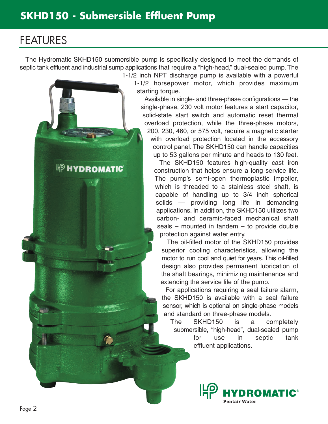**EP HYDROMATIC** 

# FEATURES

The Hydromatic SKHD150 submersible pump is specifically designed to meet the demands of septic tank effluent and industrial sump applications that require a "high-head," dual-sealed pump. The 1-1/2 inch NPT discharge pump is available with a powerful

1-1/2 horsepower motor, which provides maximum starting torque.

Available in single- and three-phase configurations — the single-phase, 230 volt motor features a start capacitor, solid-state start switch and automatic reset thermal overload protection, while the three-phase motors, 200, 230, 460, or 575 volt, require a magnetic starter with overload protection located in the accessory control panel. The SKHD150 can handle capacities up to 53 gallons per minute and heads to 130 feet.

The SKHD150 features high-quality cast iron construction that helps ensure a long service life. The pump's semi-open thermoplastic impeller, which is threaded to a stainless steel shaft, is capable of handling up to 3/4 inch spherical solids — providing long life in demanding applications. In addition, the SKHD150 utilizes two carbon- and ceramic-faced mechanical shaft seals – mounted in tandem – to provide double protection against water entry.

The oil-filled motor of the SKHD150 provides superior cooling characteristics, allowing the motor to run cool and quiet for years. This oil-filled design also provides permanent lubrication of the shaft bearings, minimizing maintenance and extending the service life of the pump.

For applications requiring a seal failure alarm, the SKHD150 is available with a seal failure sensor, which is optional on single-phase models and standard on three-phase models.

The SKHD150 is a completely submersible, "high-head", dual-sealed pump for use in septic tank effluent applications.

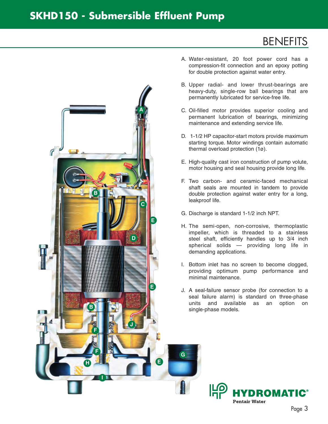### **SKHD150 - Submersible Effluent Pump**

# **BENEFITS**



- A. Water-resistant, 20 foot power cord has a compression-fit connection and an epoxy potting for double protection against water entry.
- B. Upper radial- and lower thrust-bearings are heavy-duty, single-row ball bearings that are permanently lubricated for service-free life.
- C. Oil-filled motor provides superior cooling and permanent lubrication of bearings, minimizing maintenance and extending service life.
- D. 1-1/2 HP capacitor-start motors provide maximum starting torque. Motor windings contain automatic thermal overload protection (1ø).
- E. High-quality cast iron construction of pump volute, motor housing and seal housing provide long life.
- F. Two carbon- and ceramic-faced mechanical shaft seals are mounted in tandem to provide double protection against water entry for a long, leakproof life.
- G. Discharge is standard 1-1/2 inch NPT.
- H. The semi-open, non-corrosive, thermoplastic impeller, which is threaded to a stainless steel shaft, efficiently handles up to 3/4 inch spherical solids — providing long life in demanding applications.
- I. Bottom inlet has no screen to become clogged, providing optimum pump performance and minimal maintenance.
- J. A seal-failure sensor probe (for connection to a seal failure alarm) is standard on three-phase units and available as an option on single-phase models.